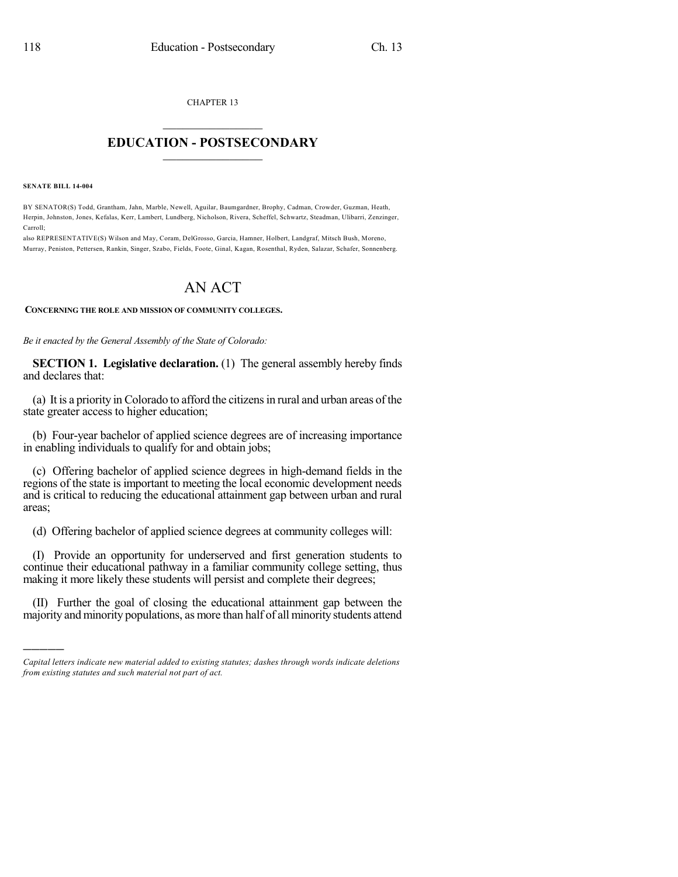CHAPTER 13  $\mathcal{L}_\text{max}$  . The set of the set of the set of the set of the set of the set of the set of the set of the set of the set of the set of the set of the set of the set of the set of the set of the set of the set of the set

## **EDUCATION - POSTSECONDARY**  $\_$   $\_$   $\_$   $\_$   $\_$   $\_$   $\_$   $\_$   $\_$

**SENATE BILL 14-004**

)))))

BY SENATOR(S) Todd, Grantham, Jahn, Marble, Newell, Aguilar, Baumgardner, Brophy, Cadman, Crowder, Guzman, Heath, Herpin, Johnston, Jones, Kefalas, Kerr, Lambert, Lundberg, Nicholson, Rivera, Scheffel, Schwartz, Steadman, Ulibarri, Zenzinger, Carroll;

also REPRESENTATIVE(S) Wilson and May, Coram, DelGrosso, Garcia, Hamner, Holbert, Landgraf, Mitsch Bush, Moreno, Murray, Peniston, Pettersen, Rankin, Singer, Szabo, Fields, Foote, Ginal, Kagan, Rosenthal, Ryden, Salazar, Schafer, Sonnenberg.

## AN ACT

## **CONCERNING THE ROLE AND MISSION OF COMMUNITY COLLEGES.**

*Be it enacted by the General Assembly of the State of Colorado:*

**SECTION 1. Legislative declaration.** (1) The general assembly hereby finds and declares that:

(a) It is a priority in Colorado to afford the citizensin rural and urban areas of the state greater access to higher education;

(b) Four-year bachelor of applied science degrees are of increasing importance in enabling individuals to qualify for and obtain jobs;

(c) Offering bachelor of applied science degrees in high-demand fields in the regions of the state is important to meeting the local economic development needs and is critical to reducing the educational attainment gap between urban and rural areas;

(d) Offering bachelor of applied science degrees at community colleges will:

(I) Provide an opportunity for underserved and first generation students to continue their educational pathway in a familiar community college setting, thus making it more likely these students will persist and complete their degrees;

(II) Further the goal of closing the educational attainment gap between the majority and minority populations, as more than half of all minority students attend

*Capital letters indicate new material added to existing statutes; dashes through words indicate deletions from existing statutes and such material not part of act.*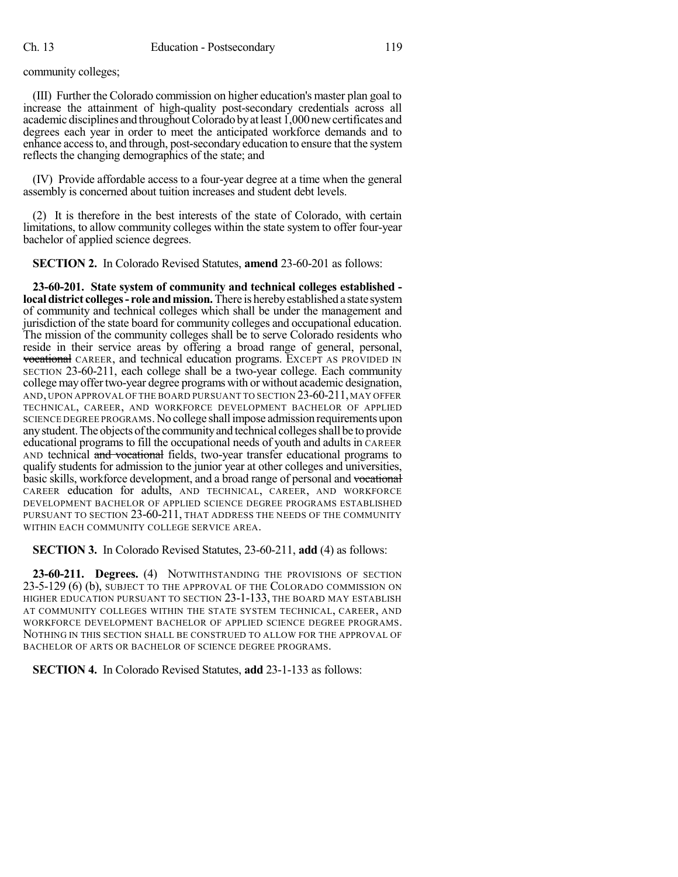community colleges;

(III) Further the Colorado commission on higher education's master plan goal to increase the attainment of high-quality post-secondary credentials across all academic disciplines and throughout Colorado by at least 1,000 new certificates and degrees each year in order to meet the anticipated workforce demands and to enhance accessto, and through, post-secondary education to ensure that the system reflects the changing demographics of the state; and

(IV) Provide affordable access to a four-year degree at a time when the general assembly is concerned about tuition increases and student debt levels.

(2) It is therefore in the best interests of the state of Colorado, with certain limitations, to allow community colleges within the state system to offer four-year bachelor of applied science degrees.

**SECTION 2.** In Colorado Revised Statutes, **amend** 23-60-201 as follows:

**23-60-201. State system of community and technical colleges established localdistrict colleges- role andmission.**There is herebyestablished a state system of community and technical colleges which shall be under the management and jurisdiction of the state board for community colleges and occupational education. The mission of the community colleges shall be to serve Colorado residents who reside in their service areas by offering a broad range of general, personal, vocational CAREER, and technical education programs. EXCEPT AS PROVIDED IN SECTION 23-60-211, each college shall be a two-year college. Each community collegemay offertwo-year degree programs with or without academic designation, AND, UPON APPROVAL OF THE BOARD PURSUANT TO SECTION 23-60-211, MAY OFFER TECHNICAL, CAREER, AND WORKFORCE DEVELOPMENT BACHELOR OF APPLIED SCIENCE DEGREE PROGRAMS. No college shall impose admission requirements upon any student. The objects of the community and technical colleges shall be to provide educational programs to fill the occupational needs of youth and adults in CAREER AND technical and vocational fields, two-year transfer educational programs to qualify students for admission to the junior year at other colleges and universities, basic skills, workforce development, and a broad range of personal and vocational CAREER education for adults, AND TECHNICAL, CAREER, AND WORKFORCE DEVELOPMENT BACHELOR OF APPLIED SCIENCE DEGREE PROGRAMS ESTABLISHED PURSUANT TO SECTION 23-60-211, THAT ADDRESS THE NEEDS OF THE COMMUNITY WITHIN EACH COMMUNITY COLLEGE SERVICE AREA.

**SECTION 3.** In Colorado Revised Statutes, 23-60-211, **add** (4) as follows:

**23-60-211. Degrees.** (4) NOTWITHSTANDING THE PROVISIONS OF SECTION 23-5-129 (6) (b), SUBJECT TO THE APPROVAL OF THE COLORADO COMMISSION ON HIGHER EDUCATION PURSUANT TO SECTION 23-1-133, THE BOARD MAY ESTABLISH AT COMMUNITY COLLEGES WITHIN THE STATE SYSTEM TECHNICAL, CAREER, AND WORKFORCE DEVELOPMENT BACHELOR OF APPLIED SCIENCE DEGREE PROGRAMS. NOTHING IN THIS SECTION SHALL BE CONSTRUED TO ALLOW FOR THE APPROVAL OF BACHELOR OF ARTS OR BACHELOR OF SCIENCE DEGREE PROGRAMS.

**SECTION 4.** In Colorado Revised Statutes, **add** 23-1-133 as follows: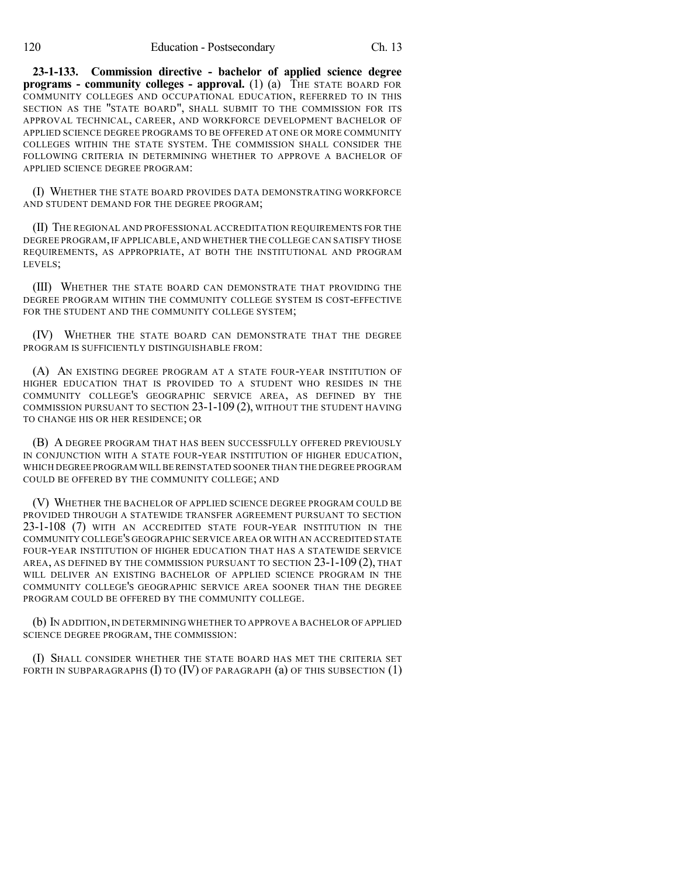**23-1-133. Commission directive - bachelor of applied science degree programs - community colleges - approval.** (1) (a) THE STATE BOARD FOR COMMUNITY COLLEGES AND OCCUPATIONAL EDUCATION, REFERRED TO IN THIS SECTION AS THE "STATE BOARD", SHALL SUBMIT TO THE COMMISSION FOR ITS APPROVAL TECHNICAL, CAREER, AND WORKFORCE DEVELOPMENT BACHELOR OF APPLIED SCIENCE DEGREE PROGRAMS TO BE OFFERED AT ONE OR MORE COMMUNITY COLLEGES WITHIN THE STATE SYSTEM. THE COMMISSION SHALL CONSIDER THE FOLLOWING CRITERIA IN DETERMINING WHETHER TO APPROVE A BACHELOR OF APPLIED SCIENCE DEGREE PROGRAM:

(I) WHETHER THE STATE BOARD PROVIDES DATA DEMONSTRATING WORKFORCE AND STUDENT DEMAND FOR THE DEGREE PROGRAM;

(II) THE REGIONAL AND PROFESSIONAL ACCREDITATION REQUIREMENTS FOR THE DEGREE PROGRAM,IF APPLICABLE, AND WHETHER THE COLLEGE CAN SATISFY THOSE REQUIREMENTS, AS APPROPRIATE, AT BOTH THE INSTITUTIONAL AND PROGRAM LEVELS;

(III) WHETHER THE STATE BOARD CAN DEMONSTRATE THAT PROVIDING THE DEGREE PROGRAM WITHIN THE COMMUNITY COLLEGE SYSTEM IS COST-EFFECTIVE FOR THE STUDENT AND THE COMMUNITY COLLEGE SYSTEM;

(IV) WHETHER THE STATE BOARD CAN DEMONSTRATE THAT THE DEGREE PROGRAM IS SUFFICIENTLY DISTINGUISHABLE FROM:

(A) AN EXISTING DEGREE PROGRAM AT A STATE FOUR-YEAR INSTITUTION OF HIGHER EDUCATION THAT IS PROVIDED TO A STUDENT WHO RESIDES IN THE COMMUNITY COLLEGE'S GEOGRAPHIC SERVICE AREA, AS DEFINED BY THE COMMISSION PURSUANT TO SECTION 23-1-109 (2), WITHOUT THE STUDENT HAVING TO CHANGE HIS OR HER RESIDENCE; OR

(B) A DEGREE PROGRAM THAT HAS BEEN SUCCESSFULLY OFFERED PREVIOUSLY IN CONJUNCTION WITH A STATE FOUR-YEAR INSTITUTION OF HIGHER EDUCATION, WHICH DEGREE PROGRAM WILL BEREINSTATED SOONER THAN THE DEGREE PROGRAM COULD BE OFFERED BY THE COMMUNITY COLLEGE; AND

(V) WHETHER THE BACHELOR OF APPLIED SCIENCE DEGREE PROGRAM COULD BE PROVIDED THROUGH A STATEWIDE TRANSFER AGREEMENT PURSUANT TO SECTION 23-1-108 (7) WITH AN ACCREDITED STATE FOUR-YEAR INSTITUTION IN THE COMMUNITY COLLEGE'S GEOGRAPHIC SERVICE AREA OR WITH AN ACCREDITED STATE FOUR-YEAR INSTITUTION OF HIGHER EDUCATION THAT HAS A STATEWIDE SERVICE AREA, AS DEFINED BY THE COMMISSION PURSUANT TO SECTION 23-1-109 (2), THAT WILL DELIVER AN EXISTING BACHELOR OF APPLIED SCIENCE PROGRAM IN THE COMMUNITY COLLEGE'S GEOGRAPHIC SERVICE AREA SOONER THAN THE DEGREE PROGRAM COULD BE OFFERED BY THE COMMUNITY COLLEGE.

(b) IN ADDITION,IN DETERMINING WHETHER TO APPROVE A BACHELOR OF APPLIED SCIENCE DEGREE PROGRAM, THE COMMISSION:

(I) SHALL CONSIDER WHETHER THE STATE BOARD HAS MET THE CRITERIA SET FORTH IN SUBPARAGRAPHS  $(I)$  to  $(IV)$  of paragraph  $(a)$  of this subsection  $(1)$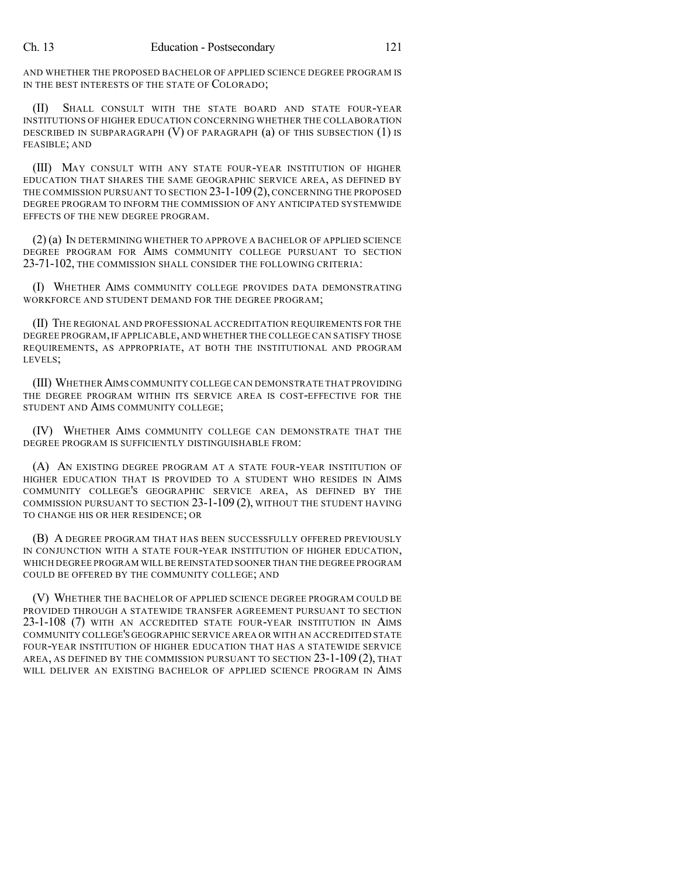AND WHETHER THE PROPOSED BACHELOR OF APPLIED SCIENCE DEGREE PROGRAM IS IN THE BEST INTERESTS OF THE STATE OF COLORADO;

(II) SHALL CONSULT WITH THE STATE BOARD AND STATE FOUR-YEAR INSTITUTIONS OF HIGHER EDUCATION CONCERNING WHETHER THE COLLABORATION DESCRIBED IN SUBPARAGRAPH (V) OF PARAGRAPH (a) OF THIS SUBSECTION (1) IS FEASIBLE; AND

(III) MAY CONSULT WITH ANY STATE FOUR-YEAR INSTITUTION OF HIGHER EDUCATION THAT SHARES THE SAME GEOGRAPHIC SERVICE AREA, AS DEFINED BY THE COMMISSION PURSUANT TO SECTION 23-1-109(2), CONCERNING THE PROPOSED DEGREE PROGRAM TO INFORM THE COMMISSION OF ANY ANTICIPATED SYSTEMWIDE EFFECTS OF THE NEW DEGREE PROGRAM.

(2) (a) IN DETERMINING WHETHER TO APPROVE A BACHELOR OF APPLIED SCIENCE DEGREE PROGRAM FOR AIMS COMMUNITY COLLEGE PURSUANT TO SECTION 23-71-102, THE COMMISSION SHALL CONSIDER THE FOLLOWING CRITERIA:

(I) WHETHER AIMS COMMUNITY COLLEGE PROVIDES DATA DEMONSTRATING WORKFORCE AND STUDENT DEMAND FOR THE DEGREE PROGRAM;

(II) THE REGIONAL AND PROFESSIONAL ACCREDITATION REQUIREMENTS FOR THE DEGREE PROGRAM,IF APPLICABLE, AND WHETHER THE COLLEGE CAN SATISFY THOSE REQUIREMENTS, AS APPROPRIATE, AT BOTH THE INSTITUTIONAL AND PROGRAM LEVELS;

(III) WHETHERAIMS COMMUNITY COLLEGE CAN DEMONSTRATE THAT PROVIDING THE DEGREE PROGRAM WITHIN ITS SERVICE AREA IS COST-EFFECTIVE FOR THE STUDENT AND AIMS COMMUNITY COLLEGE;

(IV) WHETHER AIMS COMMUNITY COLLEGE CAN DEMONSTRATE THAT THE DEGREE PROGRAM IS SUFFICIENTLY DISTINGUISHABLE FROM:

(A) AN EXISTING DEGREE PROGRAM AT A STATE FOUR-YEAR INSTITUTION OF HIGHER EDUCATION THAT IS PROVIDED TO A STUDENT WHO RESIDES IN AIMS COMMUNITY COLLEGE'S GEOGRAPHIC SERVICE AREA, AS DEFINED BY THE COMMISSION PURSUANT TO SECTION 23-1-109 (2), WITHOUT THE STUDENT HAVING TO CHANGE HIS OR HER RESIDENCE; OR

(B) A DEGREE PROGRAM THAT HAS BEEN SUCCESSFULLY OFFERED PREVIOUSLY IN CONJUNCTION WITH A STATE FOUR-YEAR INSTITUTION OF HIGHER EDUCATION, WHICH DEGREE PROGRAM WILL BE REINSTATED SOONER THAN THE DEGREE PROGRAM COULD BE OFFERED BY THE COMMUNITY COLLEGE; AND

(V) WHETHER THE BACHELOR OF APPLIED SCIENCE DEGREE PROGRAM COULD BE PROVIDED THROUGH A STATEWIDE TRANSFER AGREEMENT PURSUANT TO SECTION 23-1-108 (7) WITH AN ACCREDITED STATE FOUR-YEAR INSTITUTION IN AIMS COMMUNITY COLLEGE'S GEOGRAPHIC SERVICE AREA OR WITH AN ACCREDITED STATE FOUR-YEAR INSTITUTION OF HIGHER EDUCATION THAT HAS A STATEWIDE SERVICE AREA, AS DEFINED BY THE COMMISSION PURSUANT TO SECTION 23-1-109 (2), THAT WILL DELIVER AN EXISTING BACHELOR OF APPLIED SCIENCE PROGRAM IN AIMS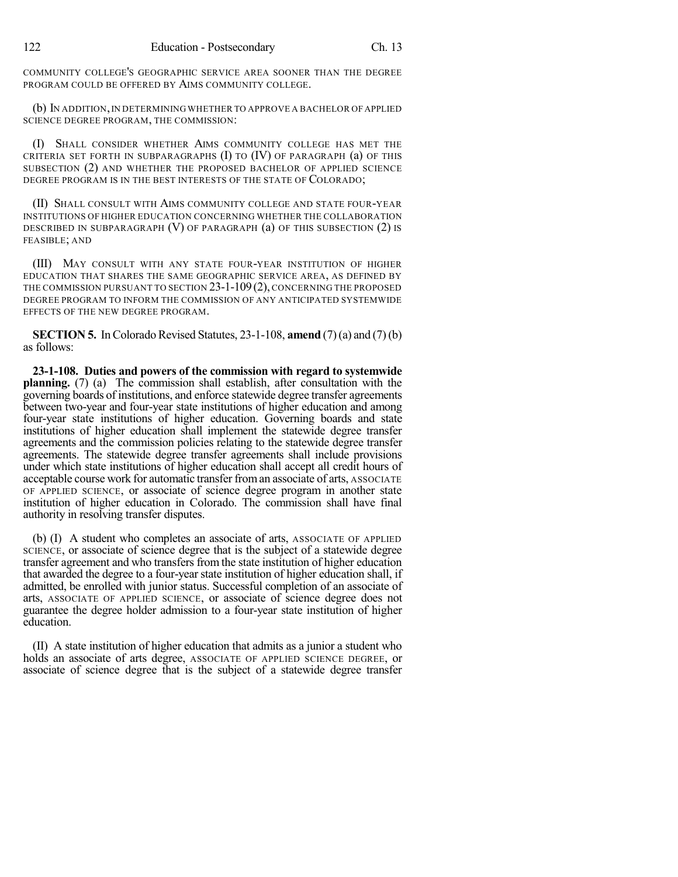COMMUNITY COLLEGE'S GEOGRAPHIC SERVICE AREA SOONER THAN THE DEGREE PROGRAM COULD BE OFFERED BY AIMS COMMUNITY COLLEGE.

(b) IN ADDITION,IN DETERMINING WHETHER TO APPROVE A BACHELOR OF APPLIED SCIENCE DEGREE PROGRAM, THE COMMISSION:

(I) SHALL CONSIDER WHETHER AIMS COMMUNITY COLLEGE HAS MET THE CRITERIA SET FORTH IN SUBPARAGRAPHS  $(I)$  to  $(IV)$  of paragraph  $(a)$  of this SUBSECTION (2) AND WHETHER THE PROPOSED BACHELOR OF APPLIED SCIENCE DEGREE PROGRAM IS IN THE BEST INTERESTS OF THE STATE OF COLORADO;

(II) SHALL CONSULT WITH AIMS COMMUNITY COLLEGE AND STATE FOUR-YEAR INSTITUTIONS OF HIGHER EDUCATION CONCERNING WHETHER THE COLLABORATION DESCRIBED IN SUBPARAGRAPH (V) OF PARAGRAPH (a) OF THIS SUBSECTION (2) IS FEASIBLE; AND

(III) MAY CONSULT WITH ANY STATE FOUR-YEAR INSTITUTION OF HIGHER EDUCATION THAT SHARES THE SAME GEOGRAPHIC SERVICE AREA, AS DEFINED BY THE COMMISSION PURSUANT TO SECTION 23-1-109(2), CONCERNING THE PROPOSED DEGREE PROGRAM TO INFORM THE COMMISSION OF ANY ANTICIPATED SYSTEMWIDE EFFECTS OF THE NEW DEGREE PROGRAM.

**SECTION 5.** In Colorado Revised Statutes,  $23-1-108$ , **amend**  $(7)$  (a) and  $(7)$  (b) as follows:

**23-1-108. Duties and powers of the commission with regard to systemwide planning.** (7) (a) The commission shall establish, after consultation with the governing boards of institutions, and enforce statewide degree transfer agreements between two-year and four-year state institutions of higher education and among four-year state institutions of higher education. Governing boards and state institutions of higher education shall implement the statewide degree transfer agreements and the commission policies relating to the statewide degree transfer agreements. The statewide degree transfer agreements shall include provisions under which state institutions of higher education shall accept all credit hours of acceptable course work for automatic transfer froman associate of arts, ASSOCIATE OF APPLIED SCIENCE, or associate of science degree program in another state institution of higher education in Colorado. The commission shall have final authority in resolving transfer disputes.

(b) (I) A student who completes an associate of arts, ASSOCIATE OF APPLIED SCIENCE, or associate of science degree that is the subject of a statewide degree transfer agreement and who transfers from the state institution of higher education that awarded the degree to a four-year state institution of higher education shall, if admitted, be enrolled with junior status. Successful completion of an associate of arts, ASSOCIATE OF APPLIED SCIENCE, or associate of science degree does not guarantee the degree holder admission to a four-year state institution of higher education.

(II) A state institution of higher education that admits as a junior a student who holds an associate of arts degree, ASSOCIATE OF APPLIED SCIENCE DEGREE, or associate of science degree that is the subject of a statewide degree transfer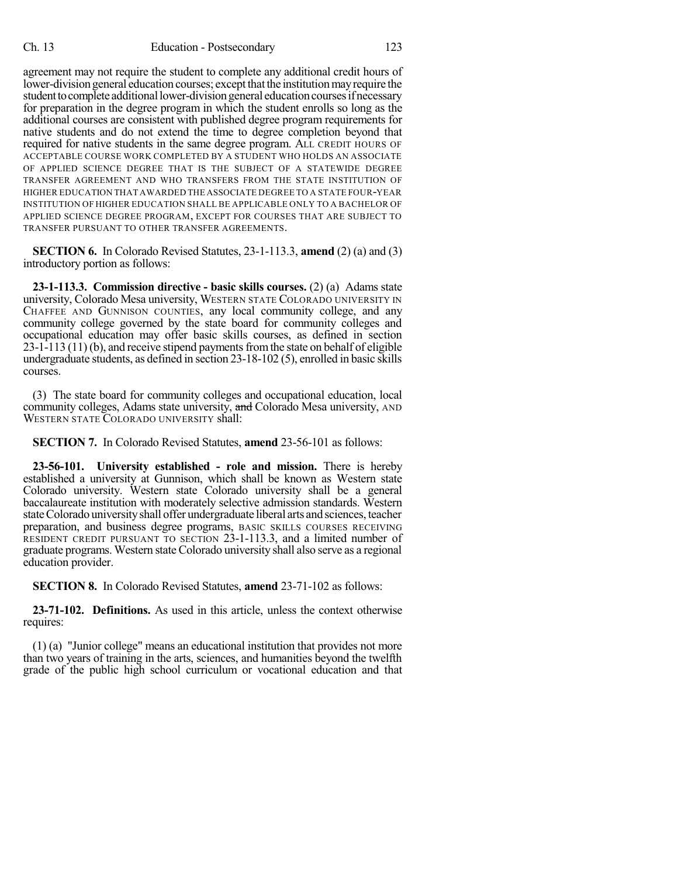agreement may not require the student to complete any additional credit hours of lower-division general education courses; except that the institution may require the student to complete additional lower-division general education courses if necessary for preparation in the degree program in which the student enrolls so long as the additional courses are consistent with published degree program requirements for native students and do not extend the time to degree completion beyond that required for native students in the same degree program. ALL CREDIT HOURS OF ACCEPTABLE COURSE WORK COMPLETED BY A STUDENT WHO HOLDS AN ASSOCIATE OF APPLIED SCIENCE DEGREE THAT IS THE SUBJECT OF A STATEWIDE DEGREE TRANSFER AGREEMENT AND WHO TRANSFERS FROM THE STATE INSTITUTION OF HIGHER EDUCATION THAT AWARDED THE ASSOCIATE DEGREE TO A STATE FOUR-YEAR INSTITUTION OF HIGHER EDUCATION SHALL BE APPLICABLE ONLY TO A BACHELOR OF APPLIED SCIENCE DEGREE PROGRAM, EXCEPT FOR COURSES THAT ARE SUBJECT TO TRANSFER PURSUANT TO OTHER TRANSFER AGREEMENTS.

**SECTION 6.** In Colorado Revised Statutes, 23-1-113.3, **amend** (2) (a) and (3) introductory portion as follows:

**23-1-113.3. Commission directive - basic skills courses.** (2) (a) Adams state university, Colorado Mesa university, WESTERN STATE COLORADO UNIVERSITY IN CHAFFEE AND GUNNISON COUNTIES, any local community college, and any community college governed by the state board for community colleges and occupational education may offer basic skills courses, as defined in section  $23-1-113(11)$  (b), and receive stipend payments from the state on behalf of eligible undergraduate students, as defined in section 23-18-102 (5), enrolled in basic skills courses.

(3) The state board for community colleges and occupational education, local community colleges, Adams state university, and Colorado Mesa university, AND WESTERN STATE COLORADO UNIVERSITY shall:

**SECTION 7.** In Colorado Revised Statutes, **amend** 23-56-101 as follows:

**23-56-101. University established - role and mission.** There is hereby established a university at Gunnison, which shall be known as Western state Colorado university. Western state Colorado university shall be a general baccalaureate institution with moderately selective admission standards. Western state Colorado university shall offer undergraduate liberal arts and sciences, teacher preparation, and business degree programs, BASIC SKILLS COURSES RECEIVING RESIDENT CREDIT PURSUANT TO SECTION 23-1-113.3, and a limited number of graduate programs. Western state Colorado university shall also serve as a regional education provider.

**SECTION 8.** In Colorado Revised Statutes, **amend** 23-71-102 as follows:

**23-71-102. Definitions.** As used in this article, unless the context otherwise requires:

(1) (a) "Junior college" means an educational institution that provides not more than two years of training in the arts, sciences, and humanities beyond the twelfth grade of the public high school curriculum or vocational education and that